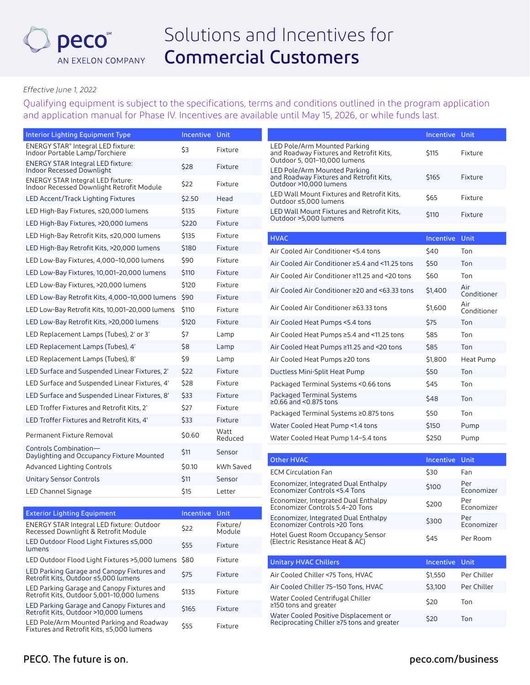

## *Effective June 1, 2022*

Qualifying equipment is subject to the specifications, terms and conditions outlined in the program application and application manual for Phase IV. Incentives are available until May 15, 2026, or while funds last.

| Interior Lighting Equipment Type                                                         | <b>Incentive Unit</b> |                    |                                                                                                         | Incentive Unit |                    |
|------------------------------------------------------------------------------------------|-----------------------|--------------------|---------------------------------------------------------------------------------------------------------|----------------|--------------------|
| ENERGY STAR® Integral LED fixture:<br>Indoor Portable Lamp/Torchiere                     | \$3                   | Fixture            | LED Pole/Arm Mounted Parking<br>and Roadway Fixtures and Retrofit Kits,<br>Outdoor 5, 001-10,000 lumens | \$115          | Fixture            |
| <b>ENERGY STAR Integral LED fixture:</b><br>Indoor Recessed Downlight                    | \$28                  | Fixture            | LED Pole/Arm Mounted Parking<br>and Roadway Fixtures and Retrofit Kits,                                 | \$165          | Fixture            |
| <b>ENERGY STAR Integral LED fixture:</b><br>Indoor Recessed Downlight Retrofit Module    | \$22                  | Fixture            | Outdoor >10,000 lumens                                                                                  |                |                    |
| LED Accent/Track Lighting Fixtures                                                       | \$2.50                | Head               | LED Wall Mount Fixtures and Retrofit Kits,<br>Outdoor ≤5,000 lumens                                     | \$65           | Fixture            |
| LED High-Bay Fixtures, ≤20,000 lumens                                                    | \$135                 | Fixture            | LED Wall Mount Fixtures and Retrofit Kits.                                                              | \$110          | Fixture            |
| LED High-Bay Fixtures, >20,000 lumens                                                    | \$220                 | Fixture            | Outdoor >5.000 lumens                                                                                   |                |                    |
| LED High-Bay Retrofit Kits, ≤20,000 lumens                                               | \$135                 | Fixture            | <b>HVAC</b>                                                                                             | Incentive Unit |                    |
| LED High-Bay Retrofit Kits, >20,000 lumens                                               | \$180                 | Fixture            | Air Cooled Air Conditioner <5.4 tons                                                                    | \$40           | Ton                |
| LED Low-Bay Fixtures, 4,000-10,000 lumens                                                | \$90                  | Fixture            | Air Cooled Air Conditioner ≥5.4 and <11.25 tons                                                         | \$50           | Ton                |
| LED Low-Bay Fixtures, 10,001-20,000 lumens                                               | \$110                 | Fixture            | Air Cooled Air Conditioner ≥11.25 and <20 tons                                                          | \$60           | Ton                |
| LED Low-Bay Fixtures, >20,000 lumens                                                     | \$120                 | Fixture            | Air Cooled Air Conditioner ≥20 and <63.33 tons                                                          | \$1,400        | Air                |
| LED Low-Bay Retrofit Kits, 4,000-10,000 lumens                                           | \$90                  | Fixture            |                                                                                                         |                | Conditioner<br>Air |
| LED Low-Bay Retrofit Kits, 10,001-20,000 lumens                                          | \$110                 | Fixture            | Air Cooled Air Conditioner ≥63.33 tons                                                                  | \$1,600        | Conditioner        |
| LED Low-Bay Retrofit Kits, >20,000 lumens                                                | \$120                 | Fixture            | Air Cooled Heat Pumps <5.4 tons                                                                         | \$75           | Ton                |
| LED Replacement Lamps (Tubes), 2' or 3'                                                  | \$7                   | Lamp               | Air Cooled Heat Pumps ≥5.4 and <11.25 tons                                                              | \$85           | Ton                |
| LED Replacement Lamps (Tubes), 4'                                                        | \$8                   | Lamp               | Air Cooled Heat Pumps ≥11.25 and <20 tons                                                               | \$85           | Ton                |
| LED Replacement Lamps (Tubes), 8'                                                        | \$9                   | Lamp               | Air Cooled Heat Pumps ≥20 tons                                                                          | \$1,800        | Heat Pump          |
| LED Surface and Suspended Linear Fixtures, 2'                                            | \$22                  | Fixture            | Ductless Mini-Split Heat Pump                                                                           | \$50           | Ton                |
| LED Surface and Suspended Linear Fixtures, 4'                                            | \$28                  | Fixture            | Packaged Terminal Systems < 0.66 tons                                                                   | \$45           | Ton                |
| LED Surface and Suspended Linear Fixtures, 8'                                            | \$33                  | Fixture            | Packaged Terminal Systems<br>$\geq$ 0.66 and <0.875 tons                                                | \$48           | Ton                |
| LED Troffer Fixtures and Retrofit Kits, 2'                                               | \$27                  | Fixture            | Packaged Terminal Systems ≥0.875 tons                                                                   | \$50           | Ton                |
| LED Troffer Fixtures and Retrofit Kits, 4'                                               | \$33                  | Fixture            | Water Cooled Heat Pump <1.4 tons                                                                        | \$150          | Pump               |
| Permanent Fixture Removal                                                                | \$0.60                | Watt<br>Reduced    | Water Cooled Heat Pump 1.4-5.4 tons                                                                     | \$250          | Pump               |
| Controls Combination-<br>Daylighting and Occupancy Fixture Mounted                       | \$11                  | Sensor             |                                                                                                         |                |                    |
| Advanced Lighting Controls                                                               | \$0.10                | kWh Saved          | <b>Other HVAC</b>                                                                                       | Incentive Unit |                    |
| <b>Unitary Sensor Controls</b>                                                           | \$11                  | Sensor             | <b>ECM Circulation Fan</b>                                                                              | \$30           | Fan                |
| LED Channel Signage                                                                      | \$15                  | Letter             | Economizer, Integrated Dual Enthalpy<br>Economizer Controls <5.4 Tons                                   | \$100          | Per<br>Economizer  |
|                                                                                          |                       |                    | Economizer, Integrated Dual Enthalpy<br>Economizer Controls 5.4-20 Tons                                 | \$200          | Per<br>Economizer  |
| <b>Exterior Lighting Equipment</b>                                                       | Incentive Unit        |                    | Economizer, Integrated Dual Enthalpy                                                                    |                | Per                |
| <b>ENERGY STAR Integral LED fixture: Outdoor</b><br>Recessed Downlight & Retrofit Module | \$22                  | Fixture/<br>Module | Economizer Controls >20 Tons<br>Hotel Guest Room Occupancy Sensor                                       | \$300          | Economizer         |
| LED Outdoor Flood Light Fixtures ≤5,000<br>lumens                                        | \$55                  | Fixture            | (Electric Resistance Heat & AC)                                                                         | \$45           | Per Room           |
| LED Outdoor Flood Light Fixtures > 5,000 lumens \$80                                     |                       | Fixture            | <b>Unitary HVAC Chillers</b>                                                                            | Incentive      | Unit               |
| LED Parking Garage and Canopy Fixtures and<br>Retrofit Kits, Outdoor ≤5,000 lumens       | \$75                  | Fixture            | Air Cooled Chiller <75 Tons, HVAC                                                                       | \$1,550        | Per Chiller        |
| LED Parking Garage and Canopy Fixtures and                                               | \$135                 | Fixture            | Air Cooled Chiller 75-150 Tons, HVAC                                                                    | \$3,100        | Per Chiller        |
| Retrofit Kits, Outdoor 5,001-10,000 lumens                                               |                       |                    | Water Cooled Centrifugal Chiller                                                                        |                |                    |

Water Cooled Centrifugal Chiller

Water Cooled Positive Displacement or

≥150 tons and greater \$20 Ton

Water Cooled Positive Displacement or<br>Reciprocating Chiller ≥75 tons and greater \$20 Ton

LED Parking darage and Canopy Fixtures and \$165 Fixture LED Pole/Arm Mounted Parking and Roadway \$55 Fixture<br>Fixtures and Retrofit Kits, ≤5,000 lumens

LED Parking Garage and Canopy Fixtures and